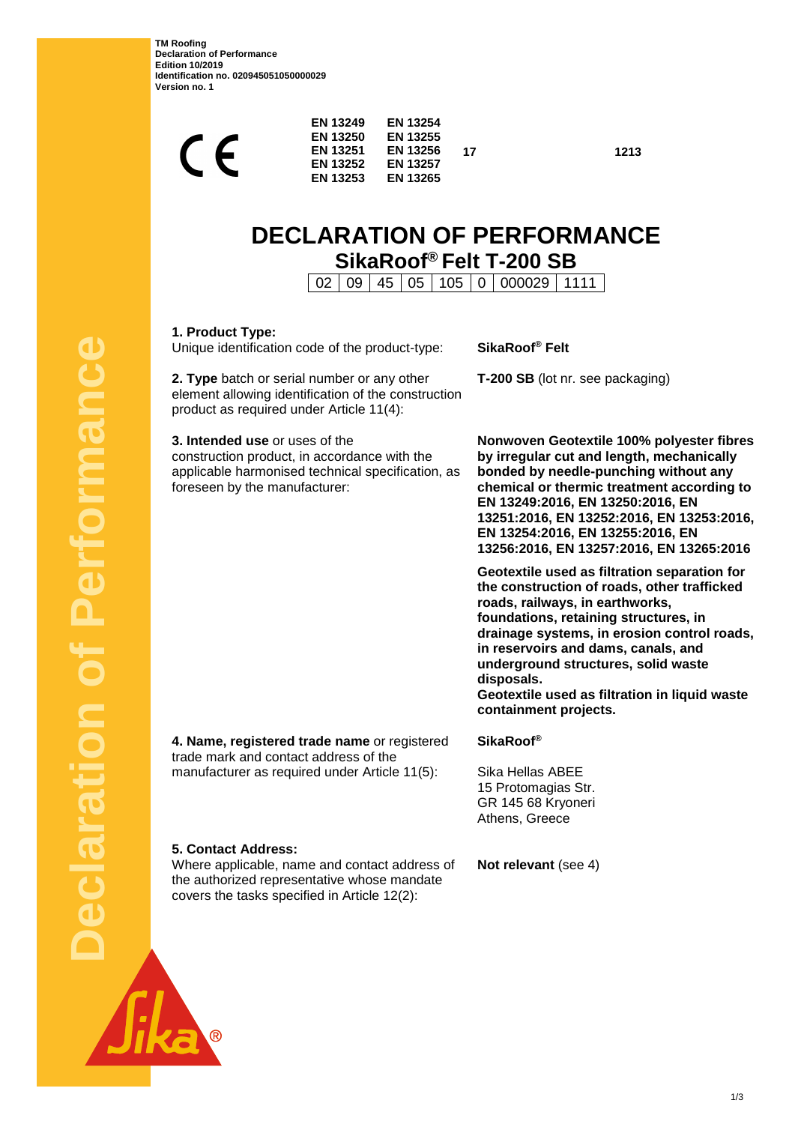**TM Roofing Declaration of Performance Edition 10/2019 Identification no. 020945051050000029 Version no. 1**

| $\epsilon$                                                                                                                                                           | <b>EN 13249</b><br><b>EN 13250</b><br>EN 13251<br><b>EN 13252</b><br><b>EN 13253</b> | <b>EN 13254</b><br><b>EN 13255</b><br><b>EN 13256</b><br><b>EN 13257</b><br><b>EN 13265</b> | 17             | 1213                                                                                                                                                                                                                                                                                                                                           |  |  |
|----------------------------------------------------------------------------------------------------------------------------------------------------------------------|--------------------------------------------------------------------------------------|---------------------------------------------------------------------------------------------|----------------|------------------------------------------------------------------------------------------------------------------------------------------------------------------------------------------------------------------------------------------------------------------------------------------------------------------------------------------------|--|--|
| <b>DECLARATION OF PERFORMANCE</b><br>SikaRoof® Felt T-200 SB<br>45<br>000029<br>1111<br>02<br>09<br>05<br>105<br>0                                                   |                                                                                      |                                                                                             |                |                                                                                                                                                                                                                                                                                                                                                |  |  |
| 1. Product Type:<br>Unique identification code of the product-type:                                                                                                  |                                                                                      |                                                                                             | SikaRoof® Felt |                                                                                                                                                                                                                                                                                                                                                |  |  |
| 2. Type batch or serial number or any other<br>element allowing identification of the construction<br>product as required under Article 11(4):                       |                                                                                      |                                                                                             |                | T-200 SB (lot nr. see packaging)                                                                                                                                                                                                                                                                                                               |  |  |
| 3. Intended use or uses of the<br>construction product, in accordance with the<br>applicable harmonised technical specification, as<br>foreseen by the manufacturer: |                                                                                      |                                                                                             |                | Nonwoven Geotextile 100% polyester fibres<br>by irregular cut and length, mechanically<br>bonded by needle-punching without any<br>chemical or thermic treatment according to<br>EN 13249:2016, EN 13250:2016, EN<br>13251:2016, EN 13252:2016, EN 13253:2016,<br>EN 13254:2016, EN 13255:2016, EN<br>13256:2016, EN 13257:2016, EN 13265:2016 |  |  |
|                                                                                                                                                                      |                                                                                      |                                                                                             |                | Geotextile used as filtration separation for<br>البمرام الكمسة سميطهم بمصامح مصالح وسمائه بستمسمه بمباغ                                                                                                                                                                                                                                        |  |  |

**separation for the construction of roads, other trafficked roads, railways, in earthworks, foundations, retaining structures, in drainage systems, in erosion control roads, in reservoirs and dams, canals, and underground structures, solid waste disposals.** 

**Geotextile used as filtration in liquid waste containment projects.**

**4. Name, registered trade name** or registered trade mark and contact address of the manufacturer as required under Article 11(5):

the authorized representative whose mandate covers the tasks specified in Article 12(2):

**5. Contact Address:**

### **SikaRoof®**

Sika Hellas ABEE 15 Protomagias Str. GR 145 68 Kryoneri Athens, Greece

Where applicable, name and contact address of **Not relevant** (see 4)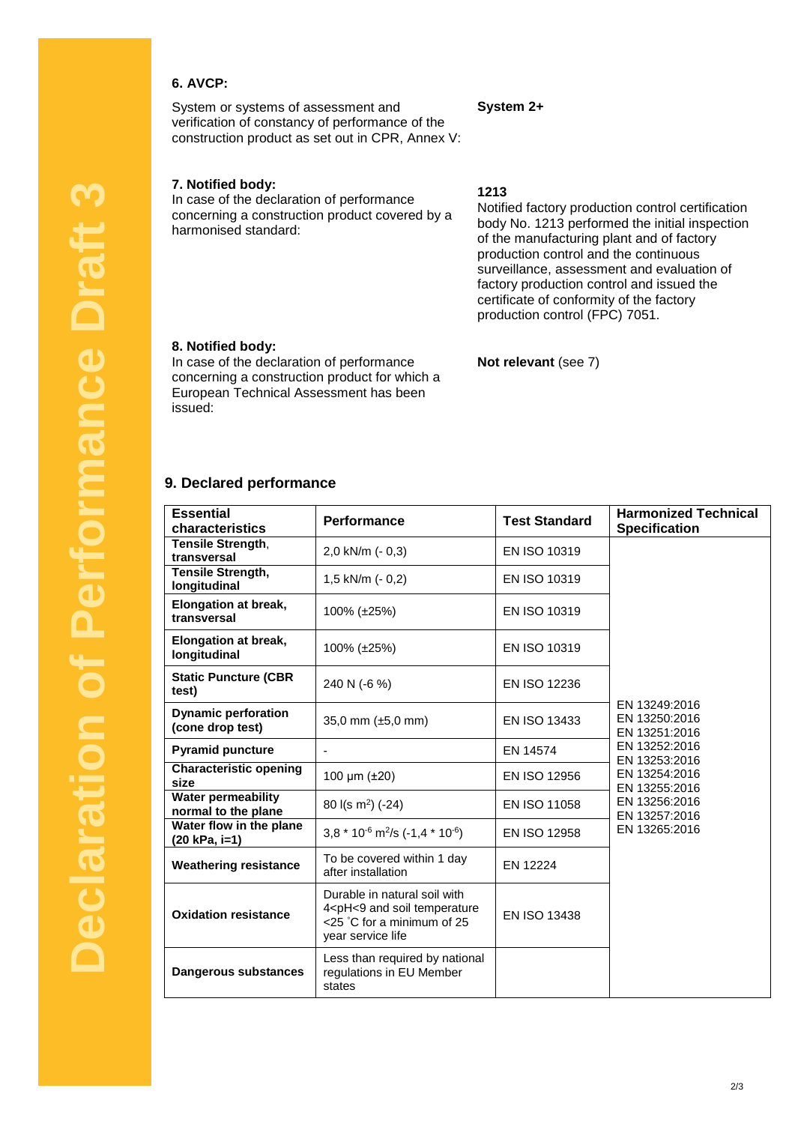# **6. AVCP:**

System or systems of assessment and verification of constancy of performance of the construction product as set out in CPR, Annex V:

### **7. Notified body:**

In case of the declaration of performance concerning a construction product covered by a harmonised standard:

**1213**

**System 2+**

Notified factory production control certification body No. 1213 performed the initial inspection of the manufacturing plant and of factory production control and the continuous surveillance, assessment and evaluation of factory production control and issued the certificate of conformity of the factory production control (FPC) 7051.

#### **8. Notified body:**

In case of the declaration of performance concerning a construction product for which a European Technical Assessment has been issued:

# **Not relevant** (see 7)

#### **9. Declared performance**

| <b>Essential</b><br>characteristics              | <b>Performance</b>                                                                                                                                                                                                                | <b>Test Standard</b> | <b>Harmonized Technical</b><br><b>Specification</b>                                                                                                   |
|--------------------------------------------------|-----------------------------------------------------------------------------------------------------------------------------------------------------------------------------------------------------------------------------------|----------------------|-------------------------------------------------------------------------------------------------------------------------------------------------------|
| Tensile Strength,<br>transversal                 | 2,0 kN/m (- 0,3)                                                                                                                                                                                                                  | EN ISO 10319         |                                                                                                                                                       |
| <b>Tensile Strength,</b><br>longitudinal         | 1,5 kN/m $(-0,2)$                                                                                                                                                                                                                 | EN ISO 10319         |                                                                                                                                                       |
| <b>Elongation at break,</b><br>transversal       | 100% (±25%)                                                                                                                                                                                                                       | EN ISO 10319         |                                                                                                                                                       |
| <b>Elongation at break,</b><br>longitudinal      | 100% (±25%)                                                                                                                                                                                                                       | EN ISO 10319         | EN 13249:2016<br>EN 13250:2016<br>EN 13251:2016<br>EN 13252:2016<br>EN 13253:2016<br>EN 13254:2016<br>EN 13255:2016<br>EN 13256:2016<br>EN 13257:2016 |
| <b>Static Puncture (CBR</b><br>test)             | 240 N (-6 %)                                                                                                                                                                                                                      | <b>EN ISO 12236</b>  |                                                                                                                                                       |
| <b>Dynamic perforation</b><br>(cone drop test)   | 35,0 mm $(\pm 5.0 \text{ mm})$                                                                                                                                                                                                    | EN ISO 13433         |                                                                                                                                                       |
| <b>Pyramid puncture</b>                          |                                                                                                                                                                                                                                   | EN 14574             |                                                                                                                                                       |
| <b>Characteristic opening</b><br>size            | 100 $\mu$ m ( $\pm$ 20)                                                                                                                                                                                                           | EN ISO 12956         |                                                                                                                                                       |
| <b>Water permeability</b><br>normal to the plane | 80 $I(s \, m^2)$ (-24)                                                                                                                                                                                                            | EN ISO 11058         |                                                                                                                                                       |
| Water flow in the plane<br>(20 kPa, i=1)         | 3,8 $*$ 10 <sup>-6</sup> m <sup>2</sup> /s (-1,4 $*$ 10 <sup>-6</sup> )                                                                                                                                                           | EN ISO 12958         | EN 13265:2016                                                                                                                                         |
| <b>Weathering resistance</b>                     | To be covered within 1 day<br>EN 12224<br>after installation<br>Durable in natural soil with<br>4 <ph<9 and="" soil="" temperature<br="">EN ISO 13438<br/><math>&lt;</math>25 °C for a minimum of 25<br/>year service life</ph<9> |                      |                                                                                                                                                       |
| <b>Oxidation resistance</b>                      |                                                                                                                                                                                                                                   |                      |                                                                                                                                                       |
| Dangerous substances                             | Less than required by national<br>regulations in EU Member<br>states                                                                                                                                                              |                      |                                                                                                                                                       |